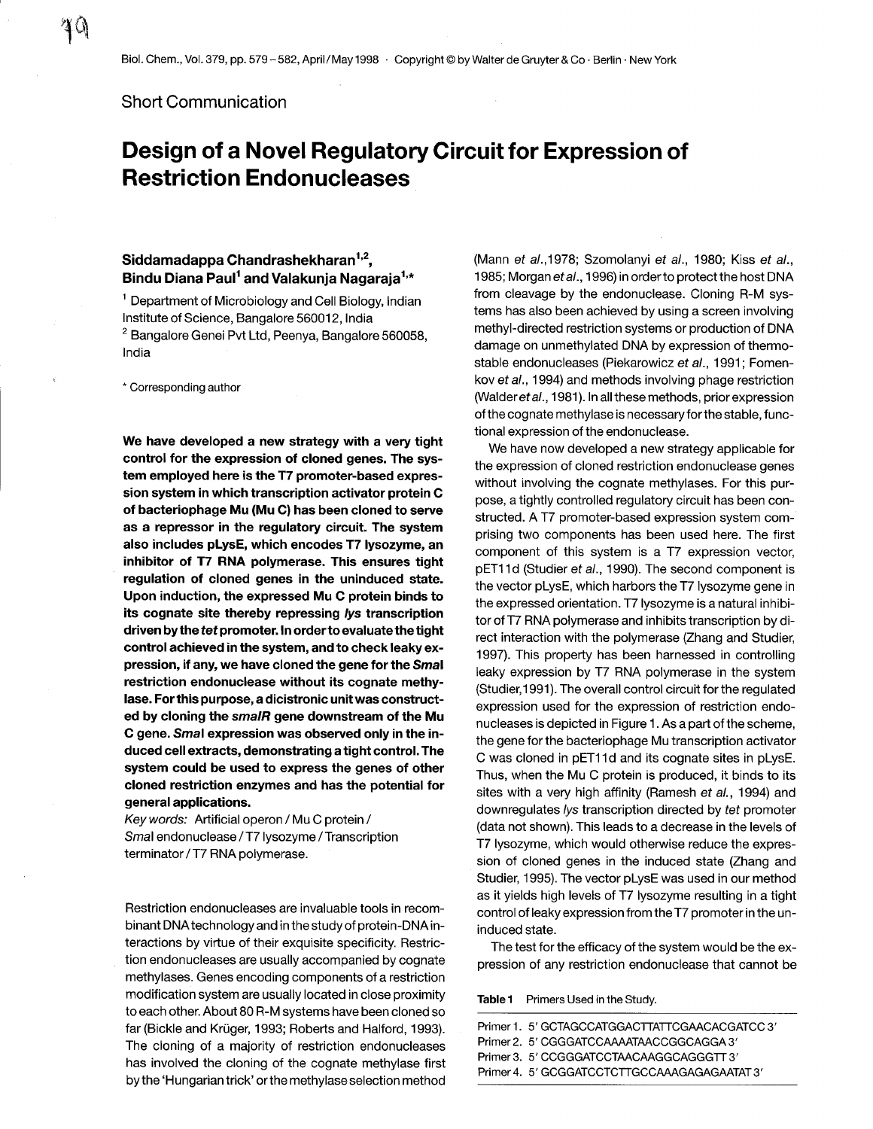Short Communication

## Design of a Novel Regulatory Circuit for Expression of Restriction Endonucleases

## Siddamadappa Chandrashekharan<sup>1,2</sup>, Bindu Diana Paul<sup>1</sup> and Valakunja Nagaraja<sup>1,\*</sup>

<sup>1</sup> Department of Microbiology and Cell Biology, Indian Institute of Science, Bangalore 560012, India <sup>2</sup> Bangalore Genei Pvt Ltd, Peenya, Bangalore 560058, India

\* Corresponding author

We have developed a new strategy with a very tight control for the expression of cloned genes. The system employed here is the T7 promoter-based expression system in which transcription activator protein C of bacteriophage Mu (Mu C) has been cloned to serve as a repressor in the regulatory circuit. The system also includes pLysE, which encodes T7 lysozyme, an inhibitor of T7 RNA polymerase. This ensures tight regulation of cloned genes in the uninduced state. Upon induction, the expressed Mu C protein binds to its cognate site thereby repressing lys transcription driven by the tet promoter. In order to evaluate the tight control achieved in the system, and to check leaky expression, if any, we have cloned the gene for the Smal restriction endonuclease without its cognate methylase. For this purpose, a dicistronic unit was constructed by cloning the smalR gene downstream of the Mu C gene. Smal expression was observed only in the induced cell extracts, demonstrating a tight control. The system could be used to express the genes of other cloned restriction enzymes and has the potential for general applications .

Keywords: Artificial operon / Mu C protein/ Smal endonuclease / T7 lysozyme / Transcription terminator / T7 RNA polymerase.

Restriction endonucleases are invaluable tools in recombinant DNA technology and in the study of protein-DNA interactions by virtue of their exquisite specificity. Restriction endonucleases are usually accompanied by cognate methylases. Genes encoding components of a restriction modification system are usually located in close proximity to each other. About 80 R-M systems have been cloned so far (Bickle and Krüger, 1993; Roberts and Halford, 1993). The cloning of a majority of restriction endonucleases has involved the cloning of the cognate methylase first by the `Hungarian trick' or the methylase selection method

(Mann et al., 1978; Szomolanyi et al., 1980; Kiss et al., 1985; Morgan et al., 1996) in order to protect the host DNA from cleavage by the endonuclease. Cloning R-M systems has also been achieved by using a screen involving methyl-directed restriction systems or production of DNA damage on unmethylated DNA by expression of thermostable endonucleases (Piekarowicz et al., 1991; Fomenkov et al., 1994) and methods involving phage restriction (Walder et al., 1981). In all these methods, prior expression of the cognate methylase is necessary for the stable, functional expression of the endonuclease .

We have now developed a new strategy applicable for the expression of cloned restriction endonuclease genes without involving the cognate methylases. For this purpose, a tightly controlled regulatory circuit has been constructed. A T7 promoter-based expression system comprising two components has been used here. The first component of this system is a T7 expression vector, pET11d (Studier et al., 1990). The second component is the vector pLysE, which harbors the T7 lysozyme gene in the expressed orientation. T7 lysozyme is a natural inhibitor of T7 RNA polymerase and inhibits transcription by direct interaction with the polymerase (Zhang and Studier, 1997). This property has been harnessed in controlling leaky expression by T7 RNA polymerase in the system (Studier, 1991). The overall control circuit for the regulated expression used for the expression of restriction endonucleases is depicted in Figure 1 . As a part of the scheme, the gene for the bacteriophage Mu transcription activator C was cloned in pET11d and its cognate sites in pLysE. Thus, when the Mu C protein is produced, it binds to its sites with a very high affinity (Ramesh et al., 1994) and downregulates lys transcription directed by tet promoter (data not shown). This leads to a decrease in the levels of T7 lysozyme, which would otherwise reduce the expression of cloned genes in the induced state (Zhang and Studier, 1995). The vector pLysE was used in our method as it yields high levels of T7 lysozyme resulting in a tight control of leaky expression from the T7 promoter in the uninduced state .

The test for the efficacy of the system would be the expression of any restriction endonuclease that cannot be

Table 1 Primers Used in the Study.

| Primer 1. 5' GCTAGCCATGGACTTATTCGAACACGATCC 3' |
|------------------------------------------------|
|                                                |
|                                                |
|                                                |
|                                                |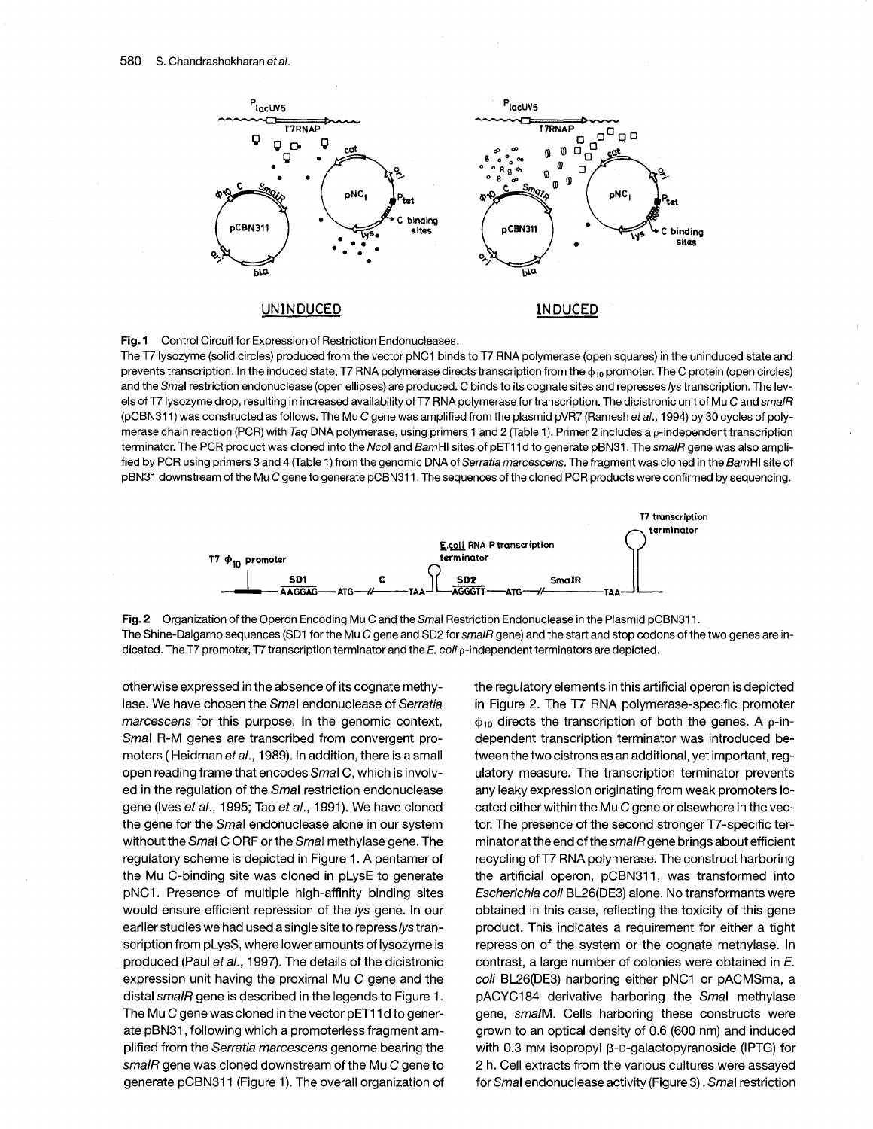

Fig. 1 Control Circuit for Expression of Restriction Endonucleases.

The T7 lysozyme (solid circles) produced from the vector pNC1 binds to T7 RNA polymerase (open squares) in the uninduced state and prevents transcription. In the induced state, T7 RNA polymerase directs transcription from the  $\phi_{10}$  promoter. The C protein (open circles) and the Smal restriction endonuclease (open ellipses) are produced. C binds to its cognate sites and represses lys transcription. The levels of T7 lysozyme drop, resulting in increased availability of T7 RNA polymerase for transcription. The dicistronic unit of Mu C and smalR (pCBN311) was constructed as follows. The Mu C gene was amplified from the plasmid pVR7 (Ramesh et al., 1994) by 30 cycles of polymerase chain reaction (PCR) with Taq DNA polymerase, using primers 1 and 2 (Table 1). Primer 2 includes a  $\rho$ -independent transcription terminator. The PCR product was cloned into the Ncol and BamHI sites of pET11d to generate pBN31. The smalR gene was also amplified by PCR using primers 3 and 4 (Table 1) from the genomic DNA of Serratia marcescens. The fragment was cloned in the BamHI site of pBN31 downstream of the Mu C gene to generate pCBN31 1 . The sequences of the cloned PCR products were confirmed by sequencing .





otherwise expressed in the absence of its cognate methylase. We have chosen the Smal endonuclease of Serratia marcescens for this purpose. In the genomic context, Smal R-M genes are transcribed from convergent promoters (Heidman et al., 1989). In addition, there is a small open reading frame that encodes Smal C, which is involved in the regulation of the Smal restriction endonuclease gene (Ives et al., 1995; Tao et al., 1991). We have cloned the gene for the Smal endonuclease alone in our system without the Smal C ORF or the Smal methylase gene. The regulatory scheme is depicted in Figure 1 . A pentamer of the Mu C-binding site was cloned in pLysE to generate pNC1 . Presence of multiple high-affinity binding sites would ensure efficient repression of the lys gene. In our earlier studies we had used a single site to repress lys transcription from pLysS, where lower amounts of lysozyme is produced (Paul et al., 1997). The details of the dicistronic expression unit having the proximal Mu C gene and the distal smalR gene is described in the legends to Figure 1. The Mu C gene was cloned in the vector pET1 1 d to generate pBN31, following which a promoterless fragment amplified from the Serratia marcescens genome bearing the smaIR gene was cloned downstream of the Mu C gene to generate pCBN311 (Figure 1). The overall organization of the regulatory elements in this artificial operon is depicted in Figure 2. The T7 RNA polymerase-specific promoter  $\phi_{10}$  directs the transcription of both the genes. A p-independent transcription terminator was introduced between the two cistrons as an additional, yet important, regulatory measure. The transcription terminator prevents any leaky expression originating from weak promoters located either within the Mu C gene or elsewhere in the vector. The presence of the second stronger T7-specific terminator at the end of the smalR gene brings about efficient recycling of T7 RNA polymerase . The construct harboring the artificial operon, pCBN311, was transformed into Escherichia coli BL26(DE3) alone. No transformants were obtained in this case, reflecting the toxicity of this gene product. This indicates a requirement for either a tight repression of the system or the cognate methylase. In contrast, a large number of colonies were obtained in E. coli BL26(DE3) harboring either pNC1 or pACMSma, a pACYC184 derivative harboring the Smal methylase gene, smalM. Cells harboring these constructs were grown to an optical density of 0 .6 (600 nm) and induced with 0.3 mm isopropyl  $\beta$ -D-galactopyranoside (IPTG) for 2 h. Cell extracts from the various cultures were assayed for Smal endonuclease activity (Figure 3) . Smal restriction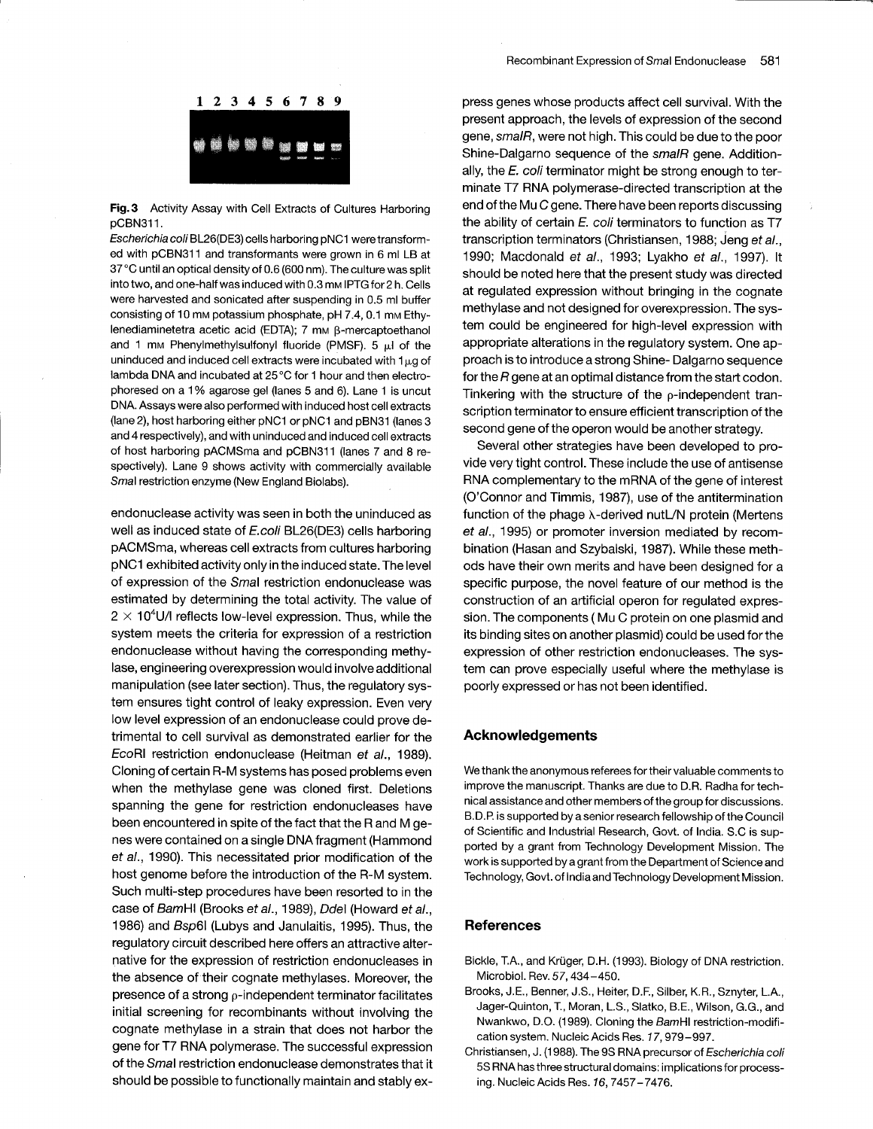

Fig. 3 Activity Assay with Cell Extracts of Cultures Harboring pCBN311.

Escherichia coli BL26(DE3) cells harboring pNC1 were transformed with pCBN311 and transformants were grown in 6 ml LB at 37 °C until an optical density of 0 .6 (600 nm) . The culture was split into two, and one-half was induced with 0.3 mm IPTG for 2 h. Cells were harvested and sonicated after suspending in 0.5 ml buffer consisting of 10 mm potassium phosphate, pH 7 .4, 0 .1 mm Ethylenediaminetetra acetic acid (EDTA);  $7 \text{ mm } \beta$ -mercaptoethanol and 1 mm Phenylmethylsulfonyl fluoride (PMSF). 5  $\mu$ l of the uninduced and induced cell extracts were incubated with  $1<sub>\mu</sub>$ g of lambda DNA and incubated at 25 °C for 1 hour and then electrophoresed on a 1% agarose gel (lanes 5 and 6). Lane 1 is uncut DNA. Assays were also performed with induced host cell extracts (lane 2), host harboring either pNC1 or pNC1 and pBN31 (lanes 3 and 4 respectively), and with uninduced and induced cell extracts of host harboring pACMSma and pCBN311 (lanes 7 and 8 respectively). Lane 9 shows activity with commercially available Smal restriction enzyme (New England Biolabs).

endonuclease activity was seen in both the uninduced as well as induced state of E.coli BL26(DE3) cells harboring pACMSma, whereas cell extracts from cultures harboring pNC1 exhibited activity only in the induced state. The level of expression of the Smal restriction endonuclease was estimated by determining the total activity. The value of  $2 \times 10^4$ U/I reflects low-level expression. Thus, while the system meets the criteria for expression of a restriction endonuclease without having the corresponding methylase, engineering overexpression would involve additional manipulation (see later section). Thus, the regulatory system ensures tight control of leaky expression. Even very low level expression of an endonuclease could prove detrimental to cell survival as demonstrated earlier for the EcoRI restriction endonuclease (Heitman et al., 1989). Cloning of certain R-M systems has posed problems even when the methylase gene was cloned first. Deletions spanning the gene for restriction endonucleases have been encountered in spite of the fact that the R and M genes were contained on a single DNA fragment (Hammond et al., 1990). This necessitated prior modification of the host genome before the introduction of the R-M system. Such multi-step procedures have been resorted to in the case of BamHI (Brooks et al., 1989), Ddel (Howard et al., 1986) and Bsp6l (Lubys and Janulaitis, 1995). Thus, the regulatory circuit described here offers an attractive alternative for the expression of restriction endonucleases in the absence of their cognate methylases . Moreover, the presence of a strong  $\rho$ -independent terminator facilitates initial screening for recombinants without involving the cognate methylase in a strain that does not harbor the gene for T7 RNA polymerase . The successful expression of the Smal restriction endonuclease demonstrates that it should be possible to functionally maintain and stably ex-

press genes whose products affect cell survival. With the present approach, the levels of expression of the second gene, smalR, were not high. This could be due to the poor Shine-Dalgarno sequence of the smalR gene. Additionally, the  $E$ . coli terminator might be strong enough to terminate T7 RNA polymerase-directed transcription at the end of the Mu C gene. There have been reports discussing the ability of certain E. coli terminators to function as T7 transcription terminators (Christiansen, 1988; Jeng et al., 1990; Macdonald et al., 1993; Lyakho et al., 1997). It should be noted here that the present study was directed at regulated expression without bringing in the cognate methylase and not designed for overexpression . The system could be engineered for high-level expression with appropriate alterations in the regulatory system . One approach is to introduce a strong Shine- Dalgarno sequence for the R gene at an optimal distance from the start codon. Tinkering with the structure of the  $p$ -independent transcription terminator to ensure efficient transcription of the second gene of the operon would be another strategy.

Several other strategies have been developed to provide very tight control. These include the use of antisense RNA complementary to the mRNA of the gene of interest (O'Connor and Timmis, 1987), use of the antitermination function of the phage  $\lambda$ -derived nutL/N protein (Mertens et al., 1995) or promoter inversion mediated by recombination (Hasan and Szybalski, 1987) . While these methods have their own merits and have been designed for a specific purpose, the novel feature of our method is the construction of an artificial operon for regulated expression. The components (Mu C protein on one plasmid and its binding sites on another plasmid) could be used for the expression of other restriction endonucleases. The system can prove especially useful where the methylase is poorly expressed or has not been identified .

## Acknowledgements

We thank the anonymous referees for their valuable comments to improve the manuscript. Thanks are due to D.R. Radha for technical assistance and other members of the group for discussions . B.D.P. is supported by a senior research fellowship of the Council of Scientific and Industrial Research, Govt. of India. S.C is supported by a grant from Technology Development Mission. The work is supported by a grant from the Department of Science and Technology, Govt. of India and Technology Development Mission.

## References

- Bickle, T.A., and Krüger, D.H. (1993). Biology of DNA restriction. Microbiol. Rev. 57, 434-450.
- Brooks, J.E., Benner, J.S., Heiter, D.F., Silber, K.R., Sznyter, L.A., Jager-Quinton, T., Moran, L.S., Slatko, B.E., Wilson, G.G., and Nwankwo, D.O. (1989). Cloning the BamHI restriction-modification system. Nucleic Acids Res. 17, 979-997.
- Christiansen, J. (1988). The 9S RNA precursor of Escherichia coli 5S RNA has three structural domains : implications for processing. Nucleic Acids Res. 16, 7457-7476.